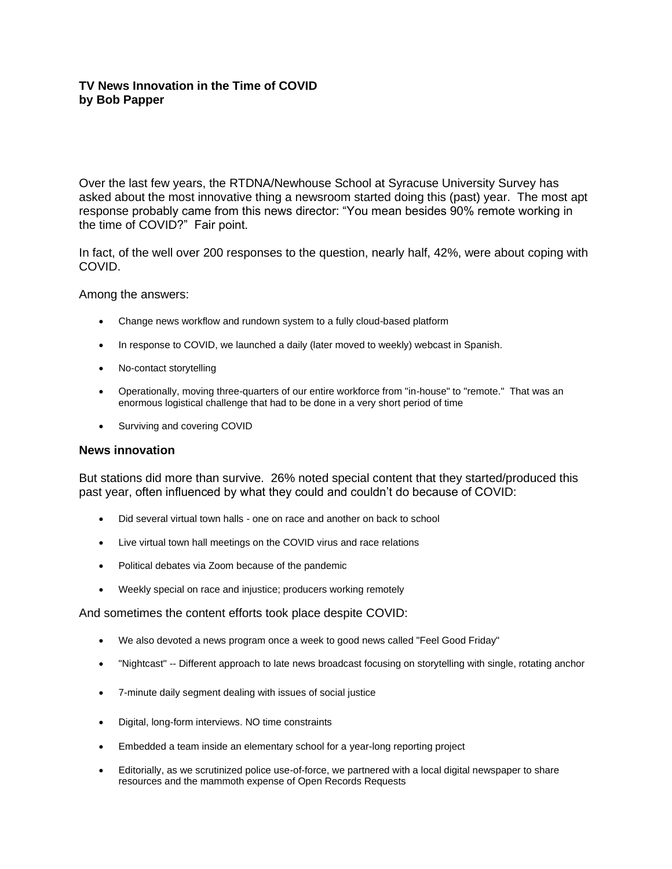# **TV News Innovation in the Time of COVID by Bob Papper**

Over the last few years, the RTDNA/Newhouse School at Syracuse University Survey has asked about the most innovative thing a newsroom started doing this (past) year. The most apt response probably came from this news director: "You mean besides 90% remote working in the time of COVID?" Fair point.

In fact, of the well over 200 responses to the question, nearly half, 42%, were about coping with COVID.

Among the answers:

- Change news workflow and rundown system to a fully cloud-based platform
- In response to COVID, we launched a daily (later moved to weekly) webcast in Spanish.
- No-contact storytelling
- Operationally, moving three-quarters of our entire workforce from "in-house" to "remote." That was an enormous logistical challenge that had to be done in a very short period of time
- Surviving and covering COVID

### **News innovation**

But stations did more than survive. 26% noted special content that they started/produced this past year, often influenced by what they could and couldn't do because of COVID:

- Did several virtual town halls one on race and another on back to school
- Live virtual town hall meetings on the COVID virus and race relations
- Political debates via Zoom because of the pandemic
- Weekly special on race and injustice; producers working remotely

And sometimes the content efforts took place despite COVID:

- We also devoted a news program once a week to good news called "Feel Good Friday"
- "Nightcast" -- Different approach to late news broadcast focusing on storytelling with single, rotating anchor
- 7-minute daily segment dealing with issues of social justice
- Digital, long-form interviews. NO time constraints
- Embedded a team inside an elementary school for a year-long reporting project
- Editorially, as we scrutinized police use-of-force, we partnered with a local digital newspaper to share resources and the mammoth expense of Open Records Requests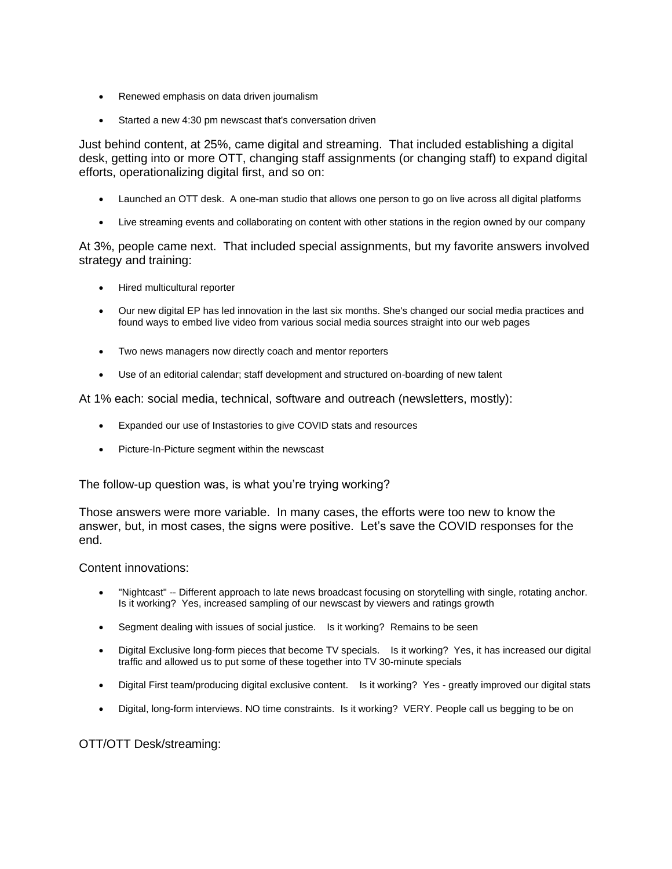- Renewed emphasis on data driven journalism
- Started a new 4:30 pm newscast that's conversation driven

Just behind content, at 25%, came digital and streaming. That included establishing a digital desk, getting into or more OTT, changing staff assignments (or changing staff) to expand digital efforts, operationalizing digital first, and so on:

- Launched an OTT desk. A one-man studio that allows one person to go on live across all digital platforms
- Live streaming events and collaborating on content with other stations in the region owned by our company

At 3%, people came next. That included special assignments, but my favorite answers involved strategy and training:

- Hired multicultural reporter
- Our new digital EP has led innovation in the last six months. She's changed our social media practices and found ways to embed live video from various social media sources straight into our web pages
- Two news managers now directly coach and mentor reporters
- Use of an editorial calendar; staff development and structured on-boarding of new talent

At 1% each: social media, technical, software and outreach (newsletters, mostly):

- Expanded our use of Instastories to give COVID stats and resources
- Picture-In-Picture segment within the newscast

The follow-up question was, is what you're trying working?

Those answers were more variable. In many cases, the efforts were too new to know the answer, but, in most cases, the signs were positive. Let's save the COVID responses for the end.

### Content innovations:

- "Nightcast" -- Different approach to late news broadcast focusing on storytelling with single, rotating anchor. Is it working? Yes, increased sampling of our newscast by viewers and ratings growth
- Segment dealing with issues of social justice. Is it working? Remains to be seen
- Digital Exclusive long-form pieces that become TV specials. Is it working? Yes, it has increased our digital traffic and allowed us to put some of these together into TV 30-minute specials
- Digital First team/producing digital exclusive content. Is it working? Yes greatly improved our digital stats
- Digital, long-form interviews. NO time constraints. Is it working? VERY. People call us begging to be on

## OTT/OTT Desk/streaming: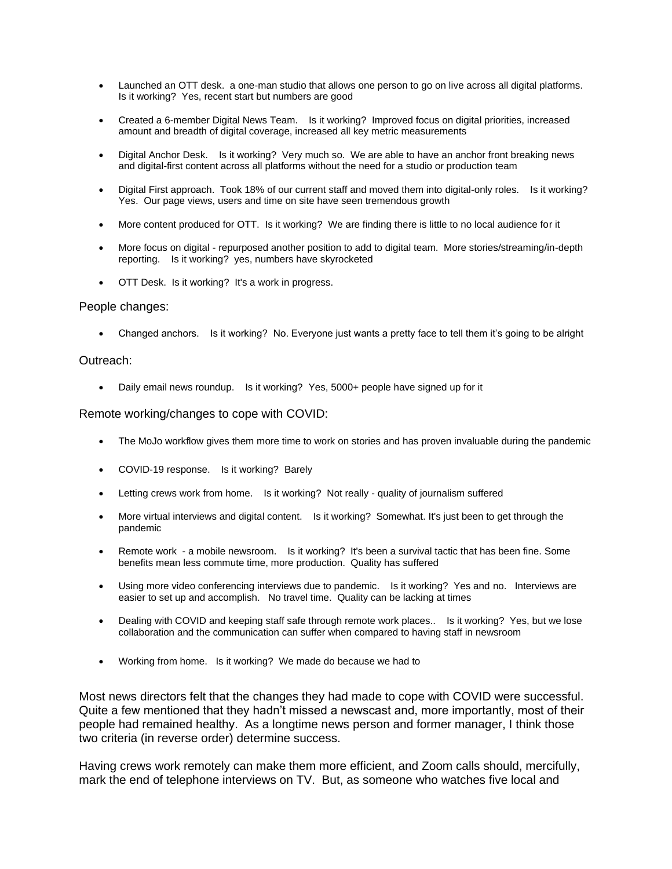- Launched an OTT desk. a one-man studio that allows one person to go on live across all digital platforms. Is it working? Yes, recent start but numbers are good
- Created a 6-member Digital News Team. Is it working? Improved focus on digital priorities, increased amount and breadth of digital coverage, increased all key metric measurements
- Digital Anchor Desk. Is it working? Very much so. We are able to have an anchor front breaking news and digital-first content across all platforms without the need for a studio or production team
- Digital First approach. Took 18% of our current staff and moved them into digital-only roles. Is it working? Yes. Our page views, users and time on site have seen tremendous growth
- More content produced for OTT. Is it working? We are finding there is little to no local audience for it
- More focus on digital repurposed another position to add to digital team. More stories/streaming/in-depth reporting. Is it working? yes, numbers have skyrocketed
- OTT Desk. Is it working? It's a work in progress.

#### People changes:

• Changed anchors. Is it working? No. Everyone just wants a pretty face to tell them it's going to be alright

#### Outreach:

• Daily email news roundup. Is it working? Yes, 5000+ people have signed up for it

#### Remote working/changes to cope with COVID:

- The MoJo workflow gives them more time to work on stories and has proven invaluable during the pandemic
- COVID-19 response. Is it working? Barely
- Letting crews work from home. Is it working? Not really quality of journalism suffered
- More virtual interviews and digital content. Is it working? Somewhat. It's just been to get through the pandemic
- Remote work a mobile newsroom. Is it working? It's been a survival tactic that has been fine. Some benefits mean less commute time, more production. Quality has suffered
- Using more video conferencing interviews due to pandemic. Is it working? Yes and no. Interviews are easier to set up and accomplish. No travel time. Quality can be lacking at times
- Dealing with COVID and keeping staff safe through remote work places.. Is it working? Yes, but we lose collaboration and the communication can suffer when compared to having staff in newsroom
- Working from home. Is it working? We made do because we had to

Most news directors felt that the changes they had made to cope with COVID were successful. Quite a few mentioned that they hadn't missed a newscast and, more importantly, most of their people had remained healthy. As a longtime news person and former manager, I think those two criteria (in reverse order) determine success.

Having crews work remotely can make them more efficient, and Zoom calls should, mercifully, mark the end of telephone interviews on TV. But, as someone who watches five local and